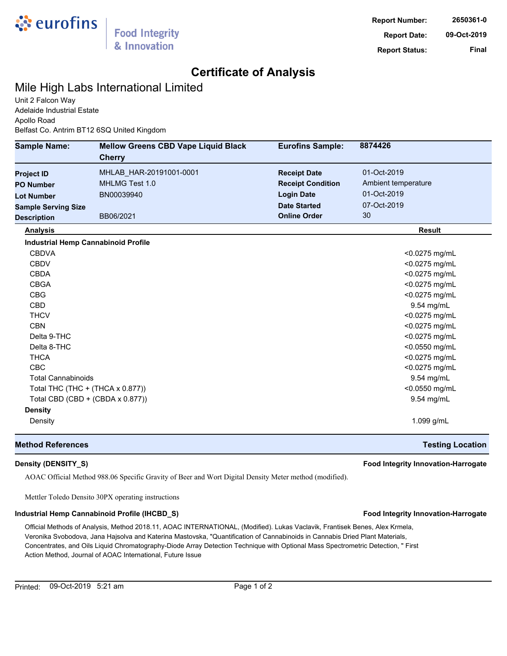

## **Certificate of Analysis**

### Mile High Labs International Limited

Unit 2 Falcon Way Adelaide Industrial Estate Apollo Road Belfast Co. Antrim BT12 6SQ United Kingdom

| <b>Sample Name:</b>              | <b>Mellow Greens CBD Vape Liquid Black</b><br><b>Cherry</b> | <b>Eurofins Sample:</b>  | 8874426                 |
|----------------------------------|-------------------------------------------------------------|--------------------------|-------------------------|
| <b>Project ID</b>                | MHLAB_HAR-20191001-0001                                     | <b>Receipt Date</b>      | 01-Oct-2019             |
| <b>PO Number</b>                 | MHLMG Test 1.0                                              | <b>Receipt Condition</b> | Ambient temperature     |
| <b>Lot Number</b>                | BN00039940                                                  | <b>Login Date</b>        | 01-Oct-2019             |
| <b>Sample Serving Size</b>       |                                                             | <b>Date Started</b>      | 07-Oct-2019             |
| <b>Description</b>               | BB06/2021                                                   | <b>Online Order</b>      | 30                      |
| <b>Analysis</b>                  |                                                             |                          | <b>Result</b>           |
|                                  | <b>Industrial Hemp Cannabinoid Profile</b>                  |                          |                         |
| <b>CBDVA</b>                     |                                                             |                          | <0.0275 mg/mL           |
| <b>CBDV</b>                      |                                                             |                          | <0.0275 mg/mL           |
| <b>CBDA</b>                      |                                                             |                          | <0.0275 mg/mL           |
| <b>CBGA</b>                      |                                                             |                          | <0.0275 mg/mL           |
| <b>CBG</b>                       |                                                             |                          | <0.0275 mg/mL           |
| <b>CBD</b>                       |                                                             |                          | 9.54 mg/mL              |
| <b>THCV</b>                      |                                                             |                          | <0.0275 mg/mL           |
| <b>CBN</b>                       |                                                             |                          | <0.0275 mg/mL           |
| Delta 9-THC                      |                                                             |                          | <0.0275 mg/mL           |
| Delta 8-THC                      |                                                             |                          | <0.0550 mg/mL           |
| <b>THCA</b>                      |                                                             |                          | <0.0275 mg/mL           |
| <b>CBC</b>                       |                                                             |                          | <0.0275 mg/mL           |
| <b>Total Cannabinoids</b>        |                                                             |                          | 9.54 mg/mL              |
| Total THC (THC + (THCA x 0.877)) |                                                             | <0.0550 mg/mL            |                         |
|                                  | Total CBD (CBD + (CBDA x 0.877))                            |                          | 9.54 mg/mL              |
| <b>Density</b>                   |                                                             |                          |                         |
| Density                          |                                                             |                          | 1.099 g/mL              |
| <b>Method References</b>         |                                                             |                          | <b>Testing Location</b> |

### **Density (DENSITY\_S) Food Integrity Innovation-Harrogate**

AOAC Official Method 988.06 Specific Gravity of Beer and Wort Digital Density Meter method (modified).

Mettler Toledo Densito 30PX operating instructions

### **Industrial Hemp Cannabinoid Profile (IHCBD\_S) Food Integrity Innovation-Harrogate**

Official Methods of Analysis, Method 2018.11, AOAC INTERNATIONAL, (Modified). Lukas Vaclavik, Frantisek Benes, Alex Krmela, Veronika Svobodova, Jana Hajsolva and Katerina Mastovska, "Quantification of Cannabinoids in Cannabis Dried Plant Materials, Concentrates, and Oils Liquid Chromatography-Diode Array Detection Technique with Optional Mass Spectrometric Detection, " First Action Method, Journal of AOAC International, Future Issue